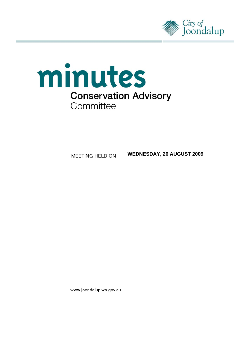



**WEDNESDAY, 26 AUGUST 2009**

www.joondalup.wa.gov.au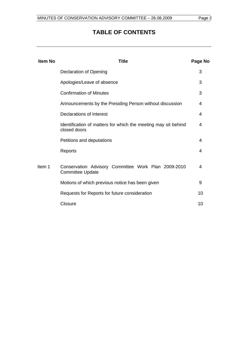# **TABLE OF CONTENTS**

| <b>Item No</b> | Title                                                                          | Page No |
|----------------|--------------------------------------------------------------------------------|---------|
|                | <b>Declaration of Opening</b>                                                  | 3       |
|                | Apologies/Leave of absence                                                     | 3       |
|                | <b>Confirmation of Minutes</b>                                                 | 3       |
|                | Announcements by the Presiding Person without discussion                       | 4       |
|                | Declarations of Interest                                                       | 4       |
|                | Identification of matters for which the meeting may sit behind<br>closed doors | 4       |
|                | Petitions and deputations                                                      | 4       |
|                | Reports                                                                        | 4       |
| Item 1         | Conservation Advisory Committee Work Plan 2009-2010<br><b>Committee Update</b> | 4       |
|                | Motions of which previous notice has been given                                | 9       |
|                | Requests for Reports for future consideration                                  | 10      |
|                | Closure                                                                        | 10      |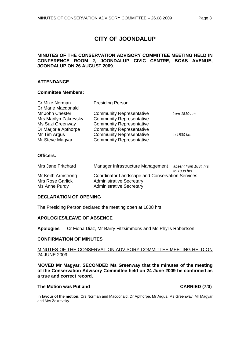# **CITY OF JOONDALUP**

# <span id="page-2-0"></span>**MINUTES OF THE CONSERVATION ADVISORY COMMITTEE MEETING HELD IN CONFERENCE ROOM 2, JOONDALUP CIVIC CENTRE, BOAS AVENUE, JOONDALUP ON 26 AUGUST 2009.**

# **ATTENDANCE**

# **Committee Members:**

| Cr Mike Norman        | <b>Presiding Person</b>         |               |
|-----------------------|---------------------------------|---------------|
| Cr Marie Macdonald    |                                 |               |
| Mr John Chester       | <b>Community Representative</b> | from 1810 hrs |
| Mrs Marilyn Zakrevsky | <b>Community Representative</b> |               |
| Ms Suzi Greenway      | <b>Community Representative</b> |               |
| Dr Marjorie Apthorpe  | <b>Community Representative</b> |               |
| Mr Tim Argus          | <b>Community Representative</b> | to 1830 hrs   |
| Mr Steve Magyar       | <b>Community Representative</b> |               |

# **Officers:**

| Mrs Jane Pritchard                                      | Manager Infrastructure Management                                                                                     | absent from 1834 hrs<br>to 1838 hrs |  |
|---------------------------------------------------------|-----------------------------------------------------------------------------------------------------------------------|-------------------------------------|--|
| Mr Keith Armstrong<br>Mrs Rose Garlick<br>Ms Anne Purdy | Coordinator Landscape and Conservation Services<br><b>Administrative Secretary</b><br><b>Administrative Secretary</b> |                                     |  |

# **DECLARATION OF OPENING**

The Presiding Person declared the meeting open at 1808 hrs

#### **APOLOGIES/LEAVE OF ABSENCE**

**Apologies** Cr Fiona Diaz, Mr Barry Fitzsimmons and Ms Phylis Robertson

# **CONFIRMATION OF MINUTES**

#### MINUTES OF THE CONSERVATION ADVISORY COMMITTEE MEETING HELD ON 24 JUNE 2009

**MOVED Mr Magyar, SECONDED Ms Greenway that the minutes of the meeting of the Conservation Advisory Committee held on 24 June 2009 be confirmed as a true and correct record.** 

#### **The Motion was Put and CARRIED (7/0)**

**In favour of the motion:** Crs Norman and Macdonald, Dr Apthorpe, Mr Argus, Ms Greenway, Mr Magyar and Mrs Zakrevsky.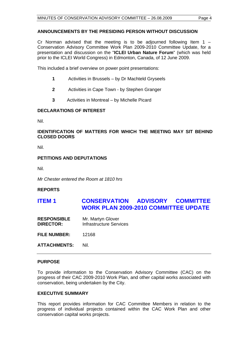# <span id="page-3-0"></span>**ANNOUNCEMENTS BY THE PRESIDING PERSON WITHOUT DISCUSSION**

Cr Norman advised that the meeting is to be adjourned following Item  $1 -$ Conservation Advisory Committee Work Plan 2009-2010 Committee Update, for a presentation and discussion on the "**ICLEI Urban Nature Forum**" (which was held prior to the ICLEI World Congress) in Edmonton, Canada, of 12 June 2009.

This included a brief overview on power point presentations:

- **1** Activities in Brussels by Dr Machteld Gryseels
- **2** Activities in Cape Town by Stephen Granger
- **3** Activities in Montreal by Michelle Picard

# **DECLARATIONS OF INTEREST**

Nil.

# **IDENTIFICATION OF MATTERS FOR WHICH THE MEETING MAY SIT BEHIND CLOSED DOORS**

Nil.

# **PETITIONS AND DEPUTATIONS**

Nil.

*Mr Chester entered the Room at 1810 hrs* 

# **REPORTS**

# **ITEM 1 CONSERVATION ADVISORY COMMITTEE WORK PLAN 2009-2010 COMMITTEE UPDATE**

**RESPONSIBLE** Mr. Martyn Glover **DIRECTOR:** Infrastructure Services

**FILE NUMBER:** 12168

**ATTACHMENTS:** Nil.

# **PURPOSE**

To provide information to the Conservation Advisory Committee (CAC) on the progress of their CAC 2009-2010 Work Plan, and other capital works associated with conservation, being undertaken by the City.

# **EXECUTIVE SUMMARY**

This report provides information for CAC Committee Members in relation to the progress of individual projects contained within the CAC Work Plan and other conservation capital works projects.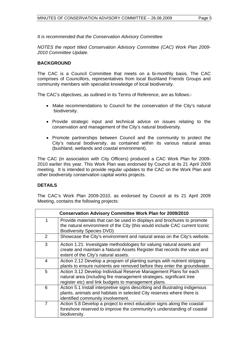*It is recommended that the Conservation Advisory Committee.*

*NOTES the report titled Conservation Advisory Committee (CAC) Work Plan 2009- 2010 Committee Update.*

# **BACKGROUND**

The CAC is a Council Committee that meets on a bi-monthly basis. The CAC comprises of Councillors, representatives from local Bushland Friends Groups and community members with specialist knowledge of local biodiversity.

The CAC's objectives, as outlined in its Terms of Reference, are as follows:-

- Make recommendations to Council for the conservation of the City's natural biodiversity.
- Provide strategic input and technical advice on issues relating to the conservation and management of the City's natural biodiversity.
- Promote partnerships between Council and the community to protect the City's natural biodiversity, as contained within its various natural areas (bushland, wetlands and coastal environment).

The CAC (in association with City Officers) produced a CAC Work Plan for 2009- 2010 earlier this year. This Work Plan was endorsed by Council at its 21 April 2009 meeting. It is intended to provide regular updates to the CAC on the Work Plan and other biodiversity conservation capital works projects.

# **DETAILS**

The CAC's Work Plan 2009-2010, as endorsed by Council at its 21 April 2009 Meeting, contains the following projects:

|                | <b>Conservation Advisory Committee Work Plan for 2009/2010</b>                                                                                                                                  |
|----------------|-------------------------------------------------------------------------------------------------------------------------------------------------------------------------------------------------|
| 1              | Provide materials that can be used in displays and brochures to promote<br>the natural environment of the City (this would include CAC current Iconic<br><b>Biodiversity Species DVD)</b>       |
| 2              | Showcase the City's environment and natural areas on the City's website.                                                                                                                        |
| 3              | Action 1.21: Investigate methodologies for valuing natural assets and<br>create and maintain a Natural Assets Register that records the value and<br>extent of the City's natural assets.       |
| 4              | Action 2.12 Develop a program of planting sumps with nutrient stripping<br>plants to ensure nutrients are removed before they enter the groundwater.                                            |
| 5              | Action 3.12 Develop Individual Reserve Management Plans for each<br>natural area (including fire management strategies, significant tree<br>register etc) and link budgets to management plans. |
| 6              | Action 5.1 Install interpretive signs describing and illustrating indigenous<br>plants, animals and habitats in selected City reserves where there is<br>identified community involvement.      |
| $\overline{7}$ | Action 5.8 Develop a project to erect education signs along the coastal<br>foreshore reserved to improve the community's understanding of coastal<br>biodiversity.                              |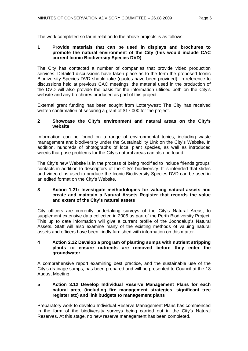The work completed so far in relation to the above projects is as follows:

# **1 Provide materials that can be used in displays and brochures to promote the natural environment of the City (this would include CAC current Iconic Biodiversity Species DVD)**

The City has contacted a number of companies that provide video production services. Detailed discussions have taken place as to the form the proposed Iconic Biodiversity Species DVD should take (quotes have been provided). In reference to discussions held at previous CAC meetings, the material used in the production of the DVD will also provide the basis for the information utilised both on the City's website and any brochures produced as part of this project.

External grant funding has been sought from Lotterywest; The City has received written confirmation of securing a grant of \$17,000 for the project.

# **2 Showcase the City's environment and natural areas on the City's website**

Information can be found on a range of environmental topics, including waste management and biodiversity under the Sustainability Link on the City's Website. In addition, hundreds of photographs of local plant species, as well as introduced weeds that pose problems for the City's natural areas can also be found.

The City's new Website is in the process of being modified to include friends groups' contacts in addition to descriptors of the City's biodiversity. It is intended that slides and video clips used to produce the Iconic Biodiversity Species DVD can be used in an edited format on the City's Website.

# **3 Action 1.21: Investigate methodologies for valuing natural assets and create and maintain a Natural Assets Register that records the value and extent of the City's natural assets**

City officers are currently undertaking surveys of the City's Natural Areas, to supplement extensive data collected in 2005 as part of the Perth Biodiversity Project. This up to date information will give a current profile of the Joondalup's Natural Assets. Staff will also examine many of the existing methods of valuing natural assets and officers have been kindly furnished with information on this matter.

# **4 Action 2.12 Develop a program of planting sumps with nutrient stripping plants to ensure nutrients are removed before they enter the groundwater**

A comprehensive report examining best practice, and the sustainable use of the City's drainage sumps, has been prepared and will be presented to Council at the 18 August Meeting.

#### **5 Action 3.12 Develop Individual Reserve Management Plans for each natural area, (including fire management strategies, significant tree register etc) and link budgets to management plans**

Preparatory work to develop Individual Reserve Management Plans has commenced in the form of the biodiversity surveys being carried out in the City's Natural Reserves. At this stage, no new reserve management has been completed.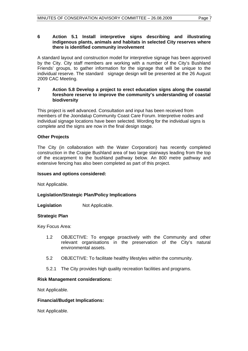# **6 Action 5.1 Install interpretive signs describing and illustrating indigenous plants, animals and habitats in selected City reserves where there is identified community involvement**

A standard layout and construction model for interpretive signage has been approved by the City. City staff members are working with a number of the City's Bushland Friends' groups, to gather information for the signage that will be unique to the individual reserve. The standard signage design will be presented at the 26 August 2009 CAC Meeting.

# **7 Action 5.8 Develop a project to erect education signs along the coastal foreshore reserve to improve the community's understanding of coastal biodiversity**

This project is well advanced. Consultation and input has been received from members of the Joondalup Community Coast Care Forum. Interpretive nodes and individual signage locations have been selected. Wording for the individual signs is complete and the signs are now in the final design stage.

# **Other Projects**

The City (in collaboration with the Water Corporation) has recently completed construction in the Craigie Bushland area of two large stairways leading from the top of the escarpment to the bushland pathway below. An 800 metre pathway and extensive fencing has also been completed as part of this project.

# **Issues and options considered:**

Not Applicable.

# **Legislation/Strategic Plan/Policy Implications**

# **Legislation Not Applicable.**

#### **Strategic Plan**

Key Focus Area:

- 1.2 OBJECTIVE: To engage proactively with the Community and other relevant organisations in the preservation of the City's natural environmental assets.
- 5.2 OBJECTIVE: To facilitate healthy lifestyles within the community.
- 5.2.1 The City provides high quality recreation facilities and programs.

#### **Risk Management considerations:**

Not Applicable.

# **Financial/Budget Implications:**

Not Applicable.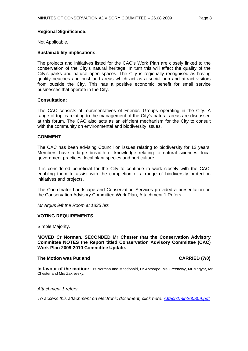#### **Regional Significance:**

Not Applicable.

# **Sustainability implications:**

The projects and initiatives listed for the CAC's Work Plan are closely linked to the conservation of the City's natural heritage. In turn this will affect the quality of the City's parks and natural open spaces. The City is regionally recognised as having quality beaches and bushland areas which act as a social hub and attract visitors from outside the City. This has a positive economic benefit for small service businesses that operate in the City.

# **Consultation:**

The CAC consists of representatives of Friends' Groups operating in the City. A range of topics relating to the management of the City's natural areas are discussed at this forum. The CAC also acts as an efficient mechanism for the City to consult with the community on environmental and biodiversity issues.

# **COMMENT**

The CAC has been advising Council on issues relating to biodiversity for 12 years. Members have a large breadth of knowledge relating to natural sciences, local government practices, local plant species and horticulture.

It is considered beneficial for the City to continue to work closely with the CAC, enabling them to assist with the completion of a range of biodiversity protection initiatives and projects.

The Coordinator Landscape and Conservation Services provided a presentation on the Conservation Advisory Committee Work Plan, Attachment 1 Refers.

*Mr Argus left the Room at 1835 hrs* 

# **VOTING REQUIREMENTS**

Simple Majority.

**MOVED Cr Norman, SECONDED Mr Chester that the Conservation Advisory Committee NOTES the Report titled Conservation Advisory Committee (CAC) Work Plan 2009-2010 Committee Update.** 

#### **The Motion was Put and CARRIED (7/0) CARRIED (7/0)**

**In favour of the motion:** Crs Norman and Macdonald, Dr Apthorpe, Ms Greenway, Mr Magyar, Mr Chester and Mrs Zakrevsky.

#### *Attachment 1 refers*

*To access this attachment on electronic document, click here:<Attach1min260809.pdf>*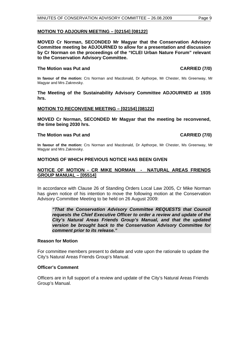#### <span id="page-8-0"></span>**MOTION TO ADJOURN MEETING – [02154] [08122]**

**MOVED Cr Norman, SECONDED Mr Magyar that the Conservation Advisory Committee meeting be ADJOURNED to allow for a presentation and discussion by Cr Norman on the proceedings of the "ICLEI Urban Nature Forum" relevant to the Conservation Advisory Committee.** 

# The Motion was Put and **CARRIED** (7/0)

**In favour of the motion:** Crs Norman and Macdonald, Dr Apthorpe, Mr Chester, Ms Greenway, Mr Magyar and Mrs Zakrevsky.

**The Meeting of the Sustainability Advisory Committee ADJOURNED at 1935 hrs.** 

#### **MOTION TO RECONVENE MEETING – [02154] [08122]**

**MOVED Cr Norman, SECONDED Mr Magyar that the meeting be reconvened, the time being 2030 hrs.** 

#### The Motion was Put and **CARRIED** (7/0)

**In favour of the motion:** Crs Norman and Macdonald, Dr Apthorpe, Mr Chester, Ms Greenway, Mr Magyar and Mrs Zakrevsky.

#### **MOTIONS OF WHICH PREVIOUS NOTICE HAS BEEN GIVEN**

#### **NOTICE OF MOTION - CR MIKE NORMAN - NATURAL AREAS FRIENDS GROUP MANUAL – [05514]**

In accordance with Clause 26 of Standing Orders Local Law 2005, Cr Mike Norman has given notice of his intention to move the following motion at the Conservation Advisory Committee Meeting to be held on 26 August 2009:

*"That the Conservation Advisory Committee REQUESTS that Council requests the Chief Executive Officer to order a review and update of the City's Natural Areas Friends Group's Manual, and that the updated version be brought back to the Conservation Advisory Committee for comment prior to its release."* 

#### **Reason for Motion**

For committee members present to debate and vote upon the rationale to update the City's Natural Areas Friends Group's Manual.

#### **Officer's Comment**

Officers are in full support of a review and update of the City's Natural Areas Friends Group's Manual.